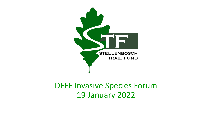

### DFFE Invasive Species Forum 19 January 2022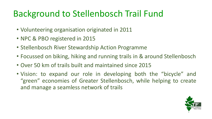# Background to Stellenbosch Trail Fund

- Volunteering organisation originated in 2011
- NPC & PBO registered in 2015
- Stellenbosch River Stewardship Action Programme
- Focussed on biking, hiking and running trails in & around Stellenbosch
- Over 50 km of trails built and maintained since 2015
- Vision: to expand our role in developing both the "bicycle" and "green" economies of Greater Stellenbosch, while helping to create and manage a seamless network of trails

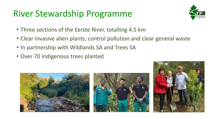## River Stewardship Programme



- Three sections of the Eerste River, totalling 4.5 km
- Clear invasive alien plants, control pollution and clear general waste
- In partnership with Wildlands SA and Trees SA
- Over 70 indigenous trees planted





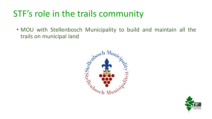• MOU with Stellenbosch Municipality to build and maintain all the trails on municipal land



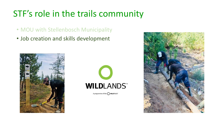- MOU with Stellenbosch Municipality
- Job creation and skills development





A programme of the WILDTRUST

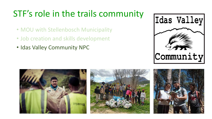- MOU with Stellenbosch Municipality
- Job creation and skills development
- Idas Valley Community NPC







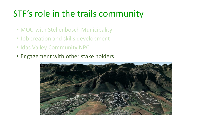- MOU with Stellenbosch Municipality
- Job creation and skills development
- Idas Valley Community NPC
- Engagement with other stake holders

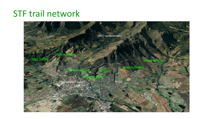## STF trail network

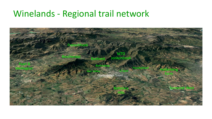### Winelands - Regional trail network